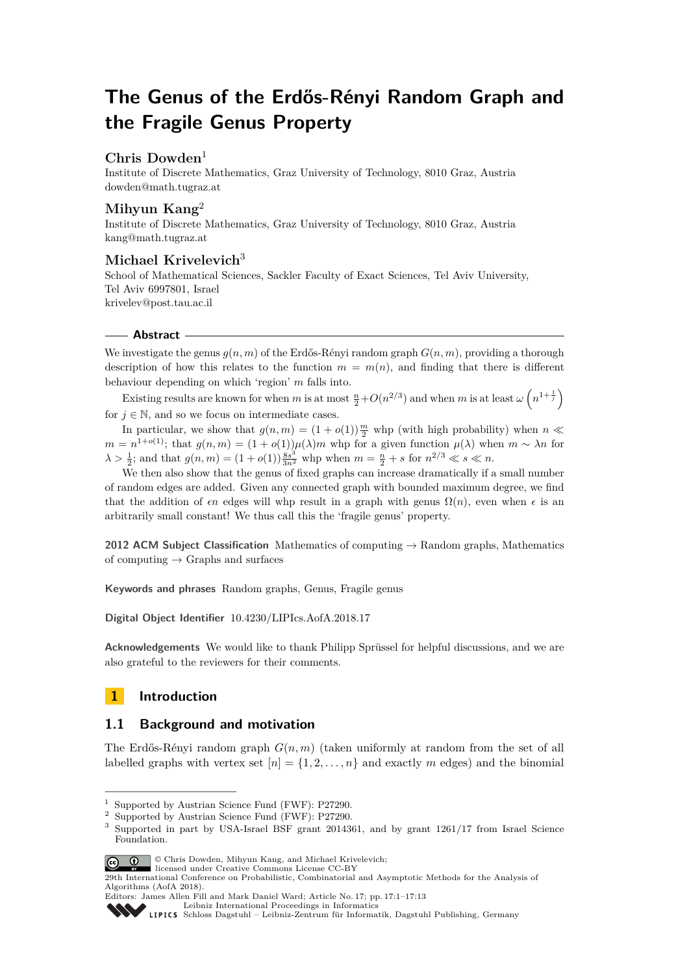# **The Genus of the Erdős-Rényi Random Graph and the Fragile Genus Property**

# **Chris Dowden**<sup>1</sup>

Institute of Discrete Mathematics, Graz University of Technology, 8010 Graz, Austria [dowden@math.tugraz.at](mailto:dowden@math.tugraz.at)

# **Mihyun Kang**<sup>2</sup>

Institute of Discrete Mathematics, Graz University of Technology, 8010 Graz, Austria [kang@math.tugraz.at](mailto:kang@math.tugraz.at)

# **Michael Krivelevich**<sup>3</sup>

School of Mathematical Sciences, Sackler Faculty of Exact Sciences, Tel Aviv University, Tel Aviv 6997801, Israel [krivelev@post.tau.ac.il](mailto:krivelev@post.tau.ac.il)

## **Abstract**

We investigate the genus  $g(n, m)$  of the Erdős-Rényi random graph  $G(n, m)$ , providing a thorough description of how this relates to the function  $m = m(n)$ , and finding that there is different behaviour depending on which 'region' *m* falls into.

Existing results are known for when *m* is at most  $\frac{n}{2} + O(n^{2/3})$  and when *m* is at least  $\omega\left(n^{1+\frac{1}{j}}\right)$ for  $j \in \mathbb{N}$ , and so we focus on intermediate cases.

In particular, we show that  $g(n,m) = (1 + o(1))\frac{m}{2}$  whp (with high probability) when  $n \ll$  $m = n^{1+o(1)}$ ; that  $g(n,m) = (1+o(1))\mu(\lambda)m$  whp for a given function  $\mu(\lambda)$  when  $m \sim \lambda n$  for  $\lambda > \frac{1}{2}$ ; and that  $g(n, m) = (1 + o(1)) \frac{8s^3}{3n^2}$  whp when  $m = \frac{n}{2} + s$  for  $n^{2/3} \ll s \ll n$ .

We then also show that the genus of fixed graphs can increase dramatically if a small number of random edges are added. Given any connected graph with bounded maximum degree, we find that the addition of  $\epsilon n$  edges will whp result in a graph with genus  $\Omega(n)$ , even when  $\epsilon$  is an arbitrarily small constant! We thus call this the 'fragile genus' property.

**2012 ACM Subject Classification** Mathematics of computing → Random graphs, Mathematics of computing  $\rightarrow$  Graphs and surfaces

**Keywords and phrases** Random graphs, Genus, Fragile genus

**Digital Object Identifier** [10.4230/LIPIcs.AofA.2018.17](http://dx.doi.org/10.4230/LIPIcs.AofA.2018.17)

**Acknowledgements** We would like to thank Philipp Sprüssel for helpful discussions, and we are also grateful to the reviewers for their comments.

# **1 Introduction**

# **1.1 Background and motivation**

The Erdős-Rényi random graph *G*(*n, m*) (taken uniformly at random from the set of all labelled graphs with vertex set  $[n] = \{1, 2, \ldots, n\}$  and exactly m edges) and the binomial

<sup>3</sup> Supported in part by USA-Israel BSF grant 2014361, and by grant 1261/17 from Israel Science Foundation.



© Chris Dowden, Mihyun Kang, and Michael Krivelevich; licensed under Creative Commons License CC-BY

<sup>&</sup>lt;sup>1</sup> Supported by Austrian Science Fund (FWF): P27290.

<sup>2</sup> Supported by Austrian Science Fund (FWF): P27290.

<sup>29</sup>th International Conference on Probabilistic, Combinatorial and Asymptotic Methods for the Analysis of Algorithms (AofA 2018).

Editors: James Allen Fill and Mark Daniel Ward; Article No. 17; pp. 17:1–17[:13](#page-12-0)

[Leibniz International Proceedings in Informatics](http://www.dagstuhl.de/lipics/)

[Schloss Dagstuhl – Leibniz-Zentrum für Informatik, Dagstuhl Publishing, Germany](http://www.dagstuhl.de)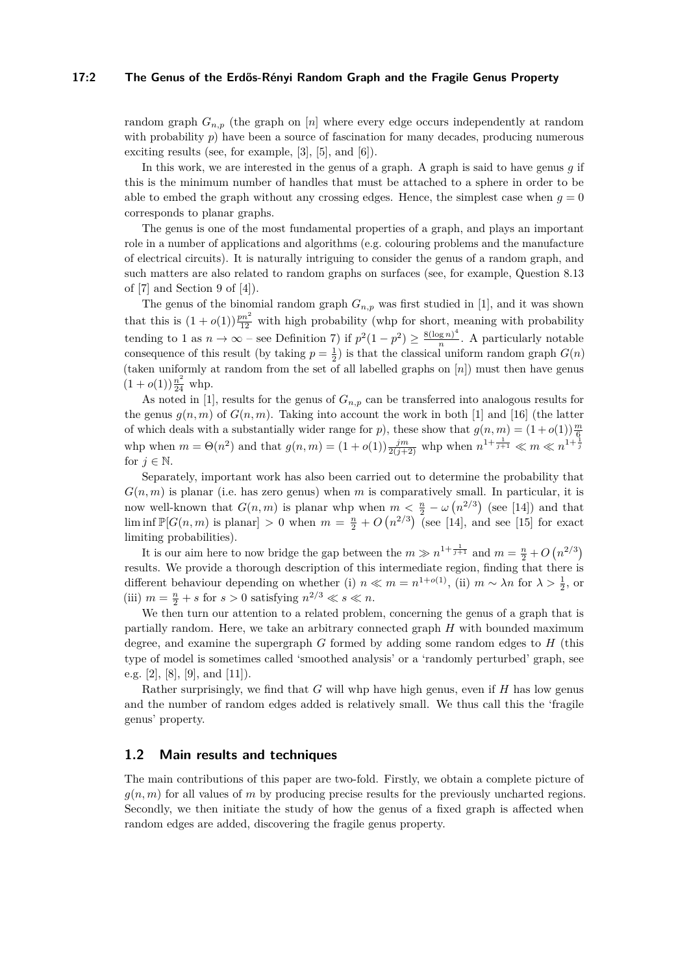#### **17:2 The Genus of the Erdős-Rényi Random Graph and the Fragile Genus Property**

random graph  $G_{n,p}$  (the graph on [*n*] where every edge occurs independently at random with probability  $p$ ) have been a source of fascination for many decades, producing numerous exciting results (see, for example, [\[3\]](#page-11-0), [\[5\]](#page-11-1), and [\[6\]](#page-11-2)).

In this work, we are interested in the genus of a graph. A graph is said to have genus *g* if this is the minimum number of handles that must be attached to a sphere in order to be able to embed the graph without any crossing edges. Hence, the simplest case when  $q = 0$ corresponds to planar graphs.

The genus is one of the most fundamental properties of a graph, and plays an important role in a number of applications and algorithms (e.g. colouring problems and the manufacture of electrical circuits). It is naturally intriguing to consider the genus of a random graph, and such matters are also related to random graphs on surfaces (see, for example, Question 8.13 of [\[7\]](#page-11-3) and Section 9 of [\[4\]](#page-11-4)).

The genus of the binomial random graph  $G_{n,p}$  was first studied in [\[1\]](#page-11-5), and it was shown that this is  $(1+o(1))\frac{pn^2}{12}$  with high probability (whp for short, meaning with probability tending to 1 as  $n \to \infty$  – see Definition [7\)](#page-4-0) if  $p^2(1-p^2) \ge \frac{8(\log n)^4}{n}$  $\frac{\log n}{n}$ . A particularly notable consequence of this result (by taking  $p = \frac{1}{2}$ ) is that the classical uniform random graph  $G(n)$ (taken uniformly at random from the set of all labelled graphs on [*n*]) must then have genus  $(1+o(1))\frac{n^2}{24}$  whp.

As noted in [\[1\]](#page-11-5), results for the genus of  $G_{n,p}$  can be transferred into analogous results for the genus  $q(n, m)$  of  $G(n, m)$ . Taking into account the work in both [\[1\]](#page-11-5) and [\[16\]](#page-12-1) (the latter of which deals with a substantially wider range for *p*), these show that  $g(n, m) = (1 + o(1))\frac{m}{6}$ whp when  $m = \Theta(n^2)$  and that  $g(n,m) = (1 + o(1)) \frac{jm}{2(j+2)}$  whp when  $n^{1 + \frac{1}{j+1}} \ll m \ll n^{1 + \frac{1}{j}}$ for  $j \in \mathbb{N}$ .

Separately, important work has also been carried out to determine the probability that  $G(n, m)$  is planar (i.e. has zero genus) when *m* is comparatively small. In particular, it is now well-known that  $G(n, m)$  is planar whp when  $m < \frac{n}{2} - \omega(n^{2/3})$  (see [\[14\]](#page-12-2)) and that  $\liminf \mathbb{P}[G(n,m) \text{ is planar}] > 0 \text{ when } m = \frac{n}{2} + O(n^{2/3})$  (see [\[14\]](#page-12-2), and see [\[15\]](#page-12-3) for exact limiting probabilities).

It is our aim here to now bridge the gap between the  $m \gg n^{1+\frac{1}{j+1}}$  and  $m = \frac{n}{2} + O(n^{2/3})$ results. We provide a thorough description of this intermediate region, finding that there is different behaviour depending on whether (i)  $n \ll m = n^{1+o(1)}$ , (ii)  $m \sim \lambda n$  for  $\lambda > \frac{1}{2}$ , or (iii)  $m = \frac{n}{2} + s$  for  $s > 0$  satisfying  $n^{2/3} \ll s \ll n$ .

We then turn our attention to a related problem, concerning the genus of a graph that is partially random. Here, we take an arbitrary connected graph *H* with bounded maximum degree, and examine the supergraph *G* formed by adding some random edges to *H* (this type of model is sometimes called 'smoothed analysis' or a 'randomly perturbed' graph, see e.g. [\[2\]](#page-11-6), [\[8\]](#page-11-7), [\[9\]](#page-11-8), and [\[11\]](#page-11-9)).

Rather surprisingly, we find that *G* will whp have high genus, even if *H* has low genus and the number of random edges added is relatively small. We thus call this the 'fragile genus' property.

## **1.2 Main results and techniques**

The main contributions of this paper are two-fold. Firstly, we obtain a complete picture of *g*(*n, m*) for all values of *m* by producing precise results for the previously uncharted regions. Secondly, we then initiate the study of how the genus of a fixed graph is affected when random edges are added, discovering the fragile genus property.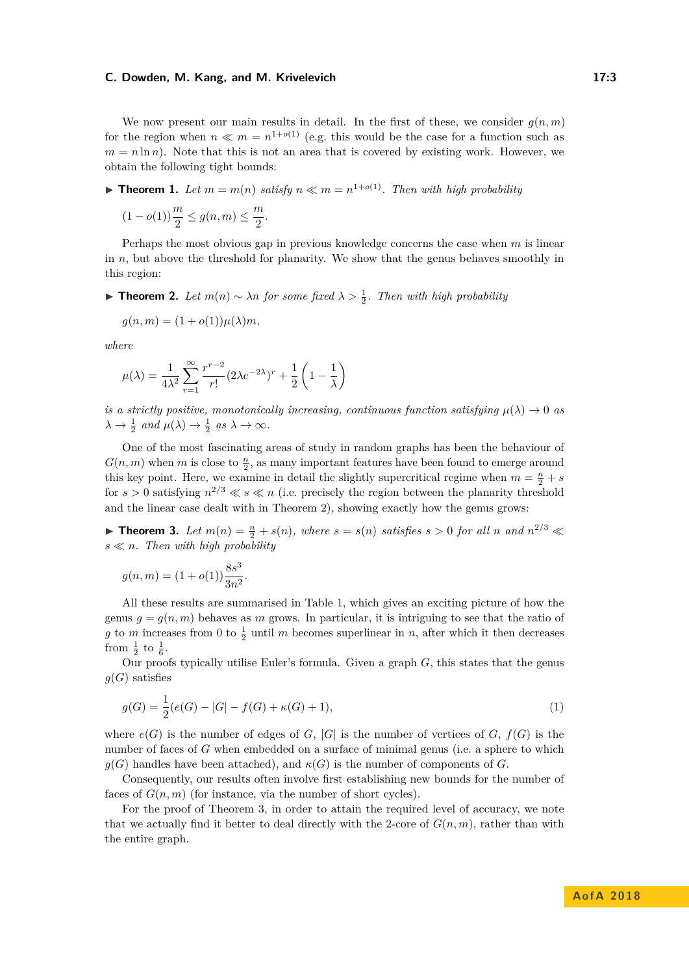We now present our main results in detail. In the first of these, we consider  $g(n,m)$ for the region when  $n \ll m = n^{1+o(1)}$  (e.g. this would be the case for a function such as  $m = n \ln n$ . Note that this is not an area that is covered by existing work. However, we obtain the following tight bounds:

<span id="page-2-2"></span>**Find 1.** Let  $m = m(n)$  satisfy  $n \ll m = n^{1+o(1)}$ . Then with high probability

$$
(1 - o(1))\frac{m}{2} \le g(n, m) \le \frac{m}{2}.
$$

Perhaps the most obvious gap in previous knowledge concerns the case when *m* is linear in *n*, but above the threshold for planarity. We show that the genus behaves smoothly in this region:

<span id="page-2-0"></span>**► Theorem 2.** Let  $m(n) \sim \lambda n$  for some fixed  $\lambda > \frac{1}{2}$ . Then with high probability

$$
g(n,m) = (1 + o(1))\mu(\lambda)m,
$$

*where*

$$
\mu(\lambda) = \frac{1}{4\lambda^2} \sum_{r=1}^{\infty} \frac{r^{r-2}}{r!} (2\lambda e^{-2\lambda})^r + \frac{1}{2} \left( 1 - \frac{1}{\lambda} \right)
$$

*is a strictly positive, monotonically increasing, continuous function satisfying*  $\mu(\lambda) \to 0$  *as*  $\lambda \to \frac{1}{2}$  and  $\mu(\lambda) \to \frac{1}{2}$  as  $\lambda \to \infty$ .

One of the most fascinating areas of study in random graphs has been the behaviour of  $G(n, m)$  when *m* is close to  $\frac{n}{2}$ , as many important features have been found to emerge around this key point. Here, we examine in detail the slightly supercritical regime when  $m = \frac{n}{2} + s$ for  $s > 0$  satisfying  $n^{2/3} \ll s \ll n$  (i.e. precisely the region between the planarity threshold and the linear case dealt with in Theorem [2\)](#page-2-0), showing exactly how the genus grows:

<span id="page-2-1"></span>**Find 1.** *Let*  $m(n) = \frac{n}{2} + s(n)$ *, where*  $s = s(n)$  *satisfies*  $s > 0$  *for all*  $n$  *and*  $n^{2/3} \ll$  $s \ll n$ . Then with high probability

$$
g(n,m)=(1+o(1))\frac{8s^3}{3n^2}.
$$

All these results are summarised in Table [1,](#page-3-0) which gives an exciting picture of how the genus  $g = g(n, m)$  behaves as *m* grows. In particular, it is intriguing to see that the ratio of *g* to *m* increases from 0 to  $\frac{1}{2}$  until *m* becomes superlinear in *n*, after which it then decreases from  $\frac{1}{2}$  to  $\frac{1}{6}$ .

Our proofs typically utilise Euler's formula. Given a graph *G*, this states that the genus  $g(G)$  satisfies

<span id="page-2-3"></span>
$$
g(G) = \frac{1}{2}(e(G) - |G| - f(G) + \kappa(G) + 1),
$$
\n(1)

where  $e(G)$  is the number of edges of *G*,  $|G|$  is the number of vertices of *G*,  $f(G)$  is the number of faces of *G* when embedded on a surface of minimal genus (i.e. a sphere to which  $g(G)$  handles have been attached), and  $\kappa(G)$  is the number of components of *G*.

Consequently, our results often involve first establishing new bounds for the number of faces of  $G(n, m)$  (for instance, via the number of short cycles).

For the proof of Theorem [3,](#page-2-1) in order to attain the required level of accuracy, we note that we actually find it better to deal directly with the 2-core of  $G(n, m)$ , rather than with the entire graph.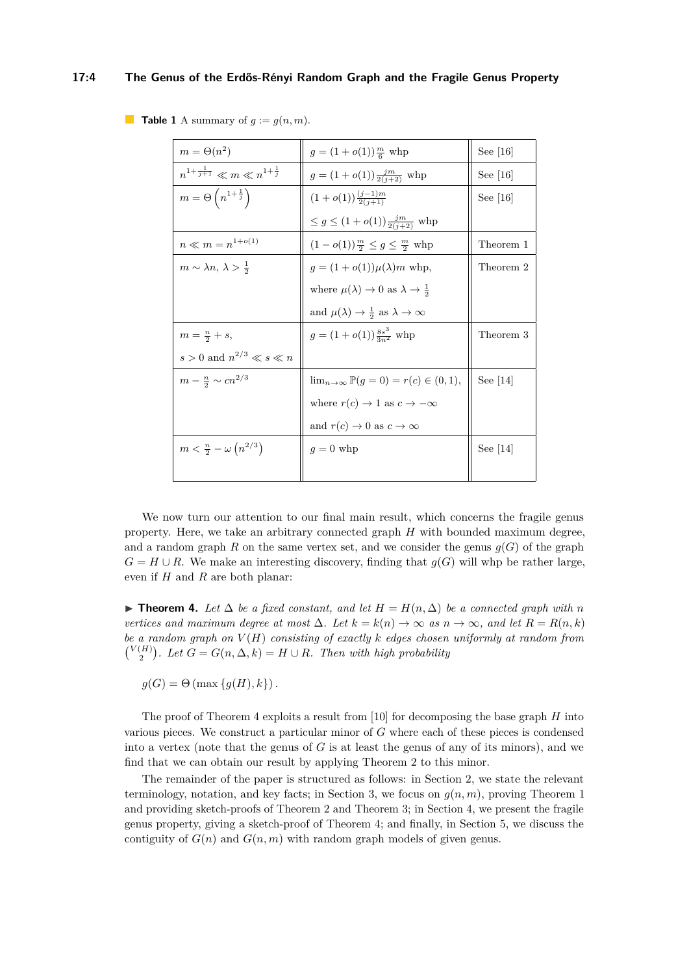#### **17:4 The Genus of the Erdős-Rényi Random Graph and the Fragile Genus Property**

| $m = \Theta(n^2)$                               | $g = (1 + o(1))\frac{m}{6}$ whp                            | See $[16]$ |
|-------------------------------------------------|------------------------------------------------------------|------------|
| $n^{1+\frac{1}{j+1}}\ll m\ll n^{1+\frac{1}{j}}$ | $g = (1 + o(1)) \frac{jm}{2(j+2)}$ whp                     | See $[16]$ |
| $m = \Theta\left(n^{1+\frac{1}{j}}\right)$      | $(1+o(1))\frac{(j-1)m}{2(i+1)}$                            | See $[16]$ |
|                                                 | $\leq g \leq (1+o(1))\frac{jm}{2(j+2)}$ whp                |            |
| $n \ll m = n^{1+o(1)}$                          | $(1 - o(1))\frac{m}{2} \leq g \leq \frac{m}{2}$ whp        | Theorem 1  |
| $m \sim \lambda n, \, \lambda > \frac{1}{2}$    | $g = (1 + o(1))\mu(\lambda)m$ whp,                         | Theorem 2  |
|                                                 | where $\mu(\lambda) \to 0$ as $\lambda \to \frac{1}{2}$    |            |
|                                                 | and $\mu(\lambda) \to \frac{1}{2}$ as $\lambda \to \infty$ |            |
| $m=\frac{n}{2}+s,$                              | $g = (1 + o(1)) \frac{8s^3}{2n^2}$ whp                     | Theorem 3  |
| $s>0$ and $n^{2/3}\ll s\ll n$                   |                                                            |            |
| $m - \frac{n}{2} \sim c n^{2/3}$                | $\lim_{n \to \infty} \mathbb{P}(g = 0) = r(c) \in (0, 1),$ | See $ 14 $ |
|                                                 | where $r(c) \rightarrow 1$ as $c \rightarrow -\infty$      |            |
|                                                 | and $r(c) \to 0$ as $c \to \infty$                         |            |
| $m < \frac{n}{2} - \omega (n^{2/3})$            | $g=0$ whp                                                  | See $[14]$ |
|                                                 |                                                            |            |

<span id="page-3-0"></span>**Table 1** A summary of  $g := g(n, m)$ .

We now turn our attention to our final main result, which concerns the fragile genus property. Here, we take an arbitrary connected graph *H* with bounded maximum degree, and a random graph *R* on the same vertex set, and we consider the genus  $q(G)$  of the graph  $G = H \cup R$ . We make an interesting discovery, finding that  $g(G)$  will whp be rather large, even if *H* and *R* are both planar:

<span id="page-3-1"></span>**► Theorem 4.** Let  $\Delta$  be a fixed constant, and let  $H = H(n, \Delta)$  be a connected graph with n *vertices and maximum degree at most*  $\Delta$ *. Let*  $k = k(n)$  → ∞ *as*  $n \rightarrow \infty$ *, and let*  $R = R(n, k)$ *be a random graph on V* (*H*) *consisting of exactly k edges chosen uniformly at random from*  $\binom{V(H)}{2}$ . Let  $G = G(n, \Delta, k) = H \cup R$ . Then with high probability

 $g(G) = \Theta(\max\{g(H), k\})$ .

The proof of Theorem [4](#page-3-1) exploits a result from [\[10\]](#page-11-10) for decomposing the base graph *H* into various pieces. We construct a particular minor of *G* where each of these pieces is condensed into a vertex (note that the genus of *G* is at least the genus of any of its minors), and we find that we can obtain our result by applying Theorem [2](#page-2-0) to this minor.

The remainder of the paper is structured as follows: in Section [2,](#page-4-1) we state the relevant terminology, notation, and key facts; in Section [3,](#page-6-0) we focus on  $g(n, m)$ , proving Theorem [1](#page-2-2) and providing sketch-proofs of Theorem [2](#page-2-0) and Theorem [3;](#page-2-1) in Section [4,](#page-9-0) we present the fragile genus property, giving a sketch-proof of Theorem [4;](#page-3-1) and finally, in Section [5,](#page-11-11) we discuss the contiguity of  $G(n)$  and  $G(n, m)$  with random graph models of given genus.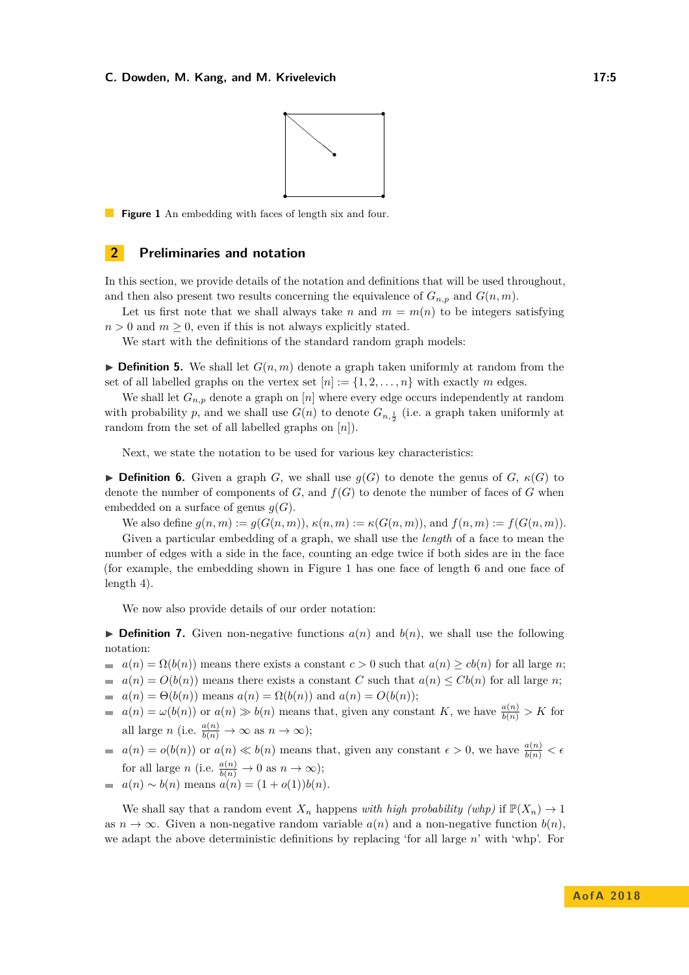

<span id="page-4-2"></span>**Figure 1** An embedding with faces of length six and four.

## <span id="page-4-1"></span>**2 Preliminaries and notation**

In this section, we provide details of the notation and definitions that will be used throughout, and then also present two results concerning the equivalence of  $G_{n,p}$  and  $G(n, m)$ .

Let us first note that we shall always take *n* and  $m = m(n)$  to be integers satisfying  $n > 0$  and  $m > 0$ , even if this is not always explicitly stated.

We start with the definitions of the standard random graph models:

 $\triangleright$  **Definition 5.** We shall let  $G(n, m)$  denote a graph taken uniformly at random from the set of all labelled graphs on the vertex set  $[n] := \{1, 2, \ldots, n\}$  with exactly *m* edges.

We shall let  $G_{n,p}$  denote a graph on [*n*] where every edge occurs independently at random with probability *p*, and we shall use  $G(n)$  to denote  $G_{n,\frac{1}{2}}$  (i.e. a graph taken uniformly at random from the set of all labelled graphs on [*n*]).

Next, we state the notation to be used for various key characteristics:

**Definition 6.** Given a graph *G*, we shall use  $g(G)$  to denote the genus of *G*,  $\kappa(G)$  to denote the number of components of  $G$ , and  $f(G)$  to denote the number of faces of  $G$  when embedded on a surface of genus  $g(G)$ .

We also define  $g(n, m) := g(G(n, m))$ ,  $\kappa(n, m) := \kappa(G(n, m))$ , and  $f(n, m) := f(G(n, m))$ .

Given a particular embedding of a graph, we shall use the *length* of a face to mean the number of edges with a side in the face, counting an edge twice if both sides are in the face (for example, the embedding shown in Figure [1](#page-4-2) has one face of length 6 and one face of length 4).

We now also provide details of our order notation:

<span id="page-4-0"></span> $\triangleright$  **Definition 7.** Given non-negative functions  $a(n)$  and  $b(n)$ , we shall use the following notation:

- $a(n) = \Omega(b(n))$  means there exists a constant  $c > 0$  such that  $a(n) \geq cb(n)$  for all large *n*;
- $a(n) = O(b(n))$  means there exists a constant *C* such that  $a(n) \leq Cb(n)$  for all large *n*;
- $a(n) = \Theta(b(n))$  means  $a(n) = \Omega(b(n))$  and  $a(n) = O(b(n));$  $\sim$
- $a(n) = \omega(b(n))$  or  $a(n) \gg b(n)$  means that, given any constant *K*, we have  $\frac{a(n)}{b(n)} > K$  for  $\blacksquare$ all large *n* (i.e.  $\frac{a(n)}{b(n)} \to \infty$  as  $n \to \infty$ );
- $a(n) = o(b(n))$  or  $a(n) \ll b(n)$  means that, given any constant  $\epsilon > 0$ , we have  $\frac{a(n)}{b(n)} < \epsilon$ for all large *n* (i.e.  $\frac{a(n)}{b(n)} \to 0$  as  $n \to \infty$ ); *a*(*n*) ∼ *b*(*n*) means *a*(*n*) = (1 + *o*(1))*b*(*n*).

We shall say that a random event  $X_n$  happens *with high probability (whp)* if  $\mathbb{P}(X_n) \to 1$ as  $n \to \infty$ . Given a non-negative random variable  $a(n)$  and a non-negative function  $b(n)$ , we adapt the above deterministic definitions by replacing 'for all large *n*' with 'whp'. For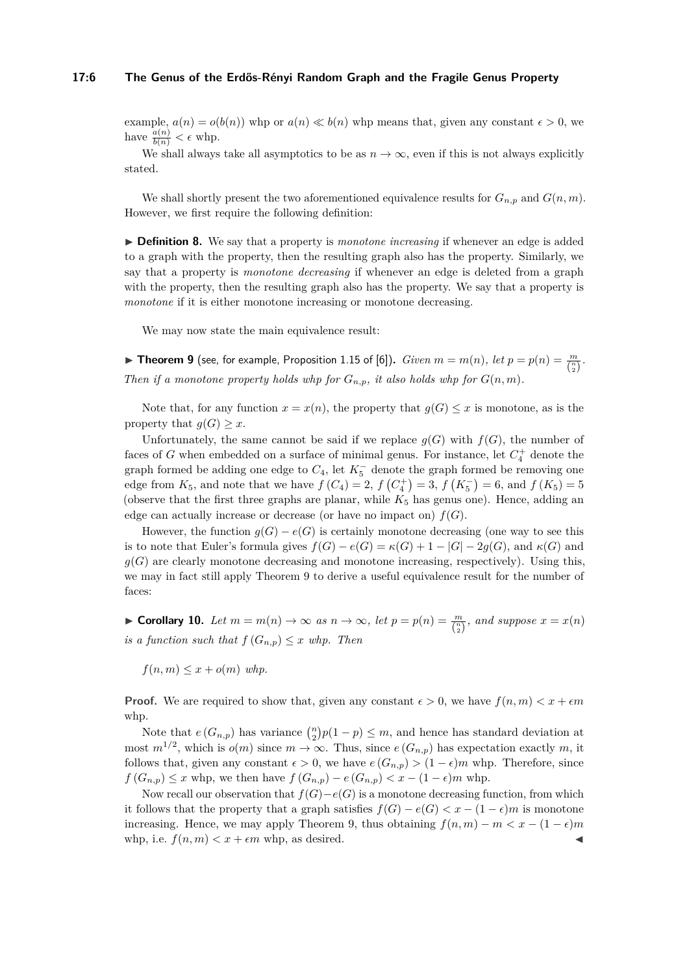#### **17:6 The Genus of the Erdős-Rényi Random Graph and the Fragile Genus Property**

example,  $a(n) = o(b(n))$  whp or  $a(n) \ll b(n)$  whp means that, given any constant  $\epsilon > 0$ , we have  $\frac{a(n)}{b(n)} < \epsilon$  whp.

We shall always take all asymptotics to be as  $n \to \infty$ , even if this is not always explicitly stated.

We shall shortly present the two aforementioned equivalence results for  $G_{n,p}$  and  $G(n,m)$ . However, we first require the following definition:

**Definition 8.** We say that a property is *monotone increasing* if whenever an edge is added to a graph with the property, then the resulting graph also has the property. Similarly, we say that a property is *monotone decreasing* if whenever an edge is deleted from a graph with the property, then the resulting graph also has the property. We say that a property is *monotone* if it is either monotone increasing or monotone decreasing.

We may now state the main equivalence result:

<span id="page-5-0"></span>▶ Theorem 9 (see, for example, Proposition 1.15 of [\[6\]](#page-11-2)). *Given*  $m = m(n)$ , *let*  $p = p(n) = \frac{m}{\binom{n}{2}}$ . *Then if a monotone property holds whp for*  $G_{n,p}$ *, it also holds whp for*  $G(n, m)$ *.* 

Note that, for any function  $x = x(n)$ , the property that  $g(G) \leq x$  is monotone, as is the property that  $g(G) \geq x$ .

Unfortunately, the same cannot be said if we replace  $g(G)$  with  $f(G)$ , the number of faces of *G* when embedded on a surface of minimal genus. For instance, let  $C_4^+$  denote the graph formed be adding one edge to  $C_4$ , let  $K_5^-$  denote the graph formed be removing one edge from  $K_5$ , and note that we have  $f(C_4) = 2$ ,  $f(C_4^+) = 3$ ,  $f(K_5^-) = 6$ , and  $f(K_5) = 5$ (observe that the first three graphs are planar, while  $K_5$  has genus one). Hence, adding an edge can actually increase or decrease (or have no impact on)  $f(G)$ .

However, the function  $g(G) - e(G)$  is certainly monotone decreasing (one way to see this is to note that Euler's formula gives  $f(G) - e(G) = \kappa(G) + 1 - |G| - 2g(G)$ , and  $\kappa(G)$  and  $g(G)$  are clearly monotone decreasing and monotone increasing, respectively). Using this, we may in fact still apply Theorem [9](#page-5-0) to derive a useful equivalence result for the number of faces:

<span id="page-5-1"></span>▶ **Corollary 10.** *Let*  $m = m(n) \rightarrow \infty$  *as*  $n \rightarrow \infty$ *, let*  $p = p(n) = \frac{m}{\binom{n}{2}}$ *, and suppose*  $x = x(n)$ *is a function such that*  $f(G_{n,p}) \leq x$  *whp. Then* 

 $f(n,m) \leq x + o(m)$  whp.

**Proof.** We are required to show that, given any constant  $\epsilon > 0$ , we have  $f(n, m) < x + \epsilon m$ whp.

Note that  $e(G_{n,p})$  has variance  $\binom{n}{2}p(1-p) \leq m$ , and hence has standard deviation at most  $m^{1/2}$ , which is  $o(m)$  since  $m \to \infty$ . Thus, since  $e(G_{n,p})$  has expectation exactly m, it follows that, given any constant  $\epsilon > 0$ , we have  $e(G_{n,p}) > (1 - \epsilon)m$  whp. Therefore, since *f* (*G*<sub>*n*,*p*</sub>) ≤ *x* whp, we then have *f* (*G*<sub>*n*</sub>,*p*) − *e* (*G*<sub>*n*</sub>,*p*) < *x* − (1 − *e*)*m* whp.

Now recall our observation that  $f(G) - e(G)$  is a monotone decreasing function, from which it follows that the property that a graph satisfies  $f(G) - e(G) < x - (1 - \epsilon)m$  is monotone increasing. Hence, we may apply Theorem [9,](#page-5-0) thus obtaining  $f(n, m) - m < x - (1 - \epsilon)m$ whp, i.e.  $f(n, m) < x + \epsilon m$  whp, as desired.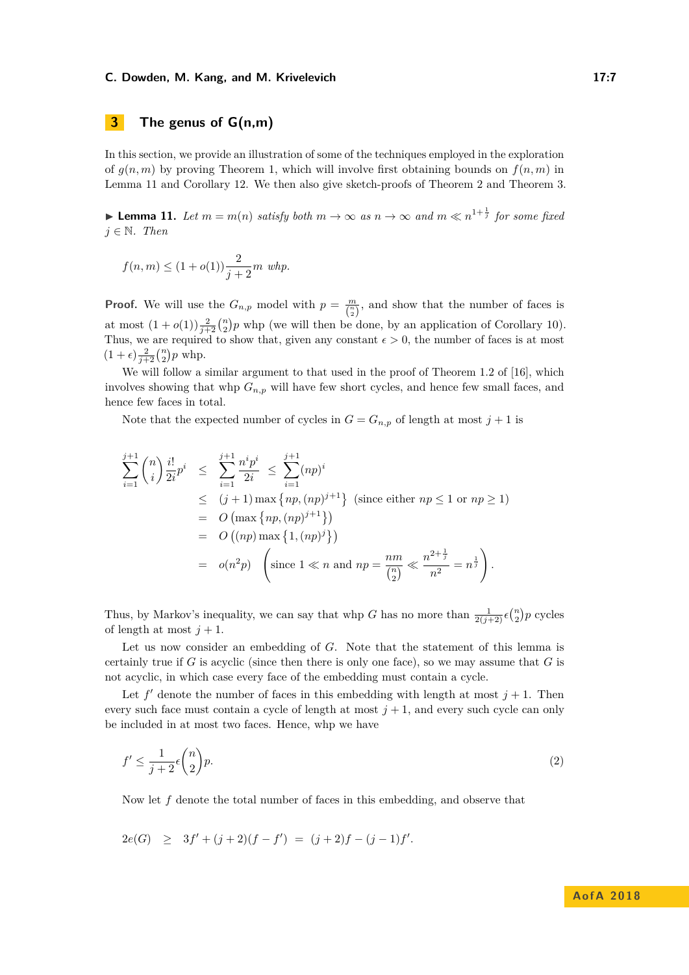# <span id="page-6-0"></span>**3 The genus of G(n,m)**

In this section, we provide an illustration of some of the techniques employed in the exploration of  $g(n, m)$  by proving Theorem [1,](#page-2-2) which will involve first obtaining bounds on  $f(n, m)$  in Lemma [11](#page-6-1) and Corollary [12.](#page-7-0) We then also give sketch-proofs of Theorem [2](#page-2-0) and Theorem [3.](#page-2-1)

<span id="page-6-1"></span>▶ **Lemma 11.** *Let*  $m = m(n)$  *satisfy both*  $m \to \infty$  *as*  $n \to \infty$  *and*  $m \ll n^{1 + \frac{1}{j}}$  *for some fixed*  $j ∈ ℕ$ *. Then* 

$$
f(n,m) \le (1+o(1))\frac{2}{j+2}m
$$
 whp.

**Proof.** We will use the  $G_{n,p}$  model with  $p = \frac{m}{\binom{n}{2}}$ , and show that the number of faces is at most  $(1+o(1))\frac{2}{j+2}\binom{n}{2}p$  whp (we will then be done, by an application of Corollary [10\)](#page-5-1). Thus, we are required to show that, given any constant  $\epsilon > 0$ , the number of faces is at most  $(1+\epsilon)\frac{2}{j+2} {n \choose 2} p$  whp.

We will follow a similar argument to that used in the proof of Theorem 1.2 of [\[16\]](#page-12-1), which involves showing that whp  $G_{n,p}$  will have few short cycles, and hence few small faces, and hence few faces in total.

Note that the expected number of cycles in  $G = G_{n,p}$  of length at most  $j + 1$  is

$$
\sum_{i=1}^{j+1} {n \choose i} \frac{i!}{2i} p^i \le \sum_{i=1}^{j+1} \frac{n^i p^i}{2i} \le \sum_{i=1}^{j+1} (np)^i
$$
  
\n
$$
\le (j+1) \max \{ np, (np)^{j+1} \} \text{ (since either } np \le 1 \text{ or } np \ge 1)
$$
  
\n
$$
= O \left( \max \{ np, (np)^{j+1} \} \right)
$$
  
\n
$$
= O \left( (np) \max \{ 1, (np)^j \} \right)
$$
  
\n
$$
= o(n^2 p) \left( \text{since } 1 \ll n \text{ and } np = \frac{nm}{\binom{n}{2}} \ll \frac{n^{2+\frac{1}{j}}}{n^2} = n^{\frac{1}{j}} \right).
$$

Thus, by Markov's inequality, we can say that whp *G* has no more than  $\frac{1}{2(j+2)} \epsilon {n \choose 2} p$  cycles of length at most  $j + 1$ .

Let us now consider an embedding of *G*. Note that the statement of this lemma is certainly true if  $G$  is acyclic (since then there is only one face), so we may assume that  $G$  is not acyclic, in which case every face of the embedding must contain a cycle.

Let  $f'$  denote the number of faces in this embedding with length at most  $j + 1$ . Then every such face must contain a cycle of length at most  $j + 1$ , and every such cycle can only be included in at most two faces. Hence, whp we have

<span id="page-6-2"></span>
$$
f' \le \frac{1}{j+2} \epsilon \binom{n}{2} p. \tag{2}
$$

Now let *f* denote the total number of faces in this embedding, and observe that

$$
2e(G) \geq 3f' + (j+2)(f - f') = (j+2)f - (j-1)f'.
$$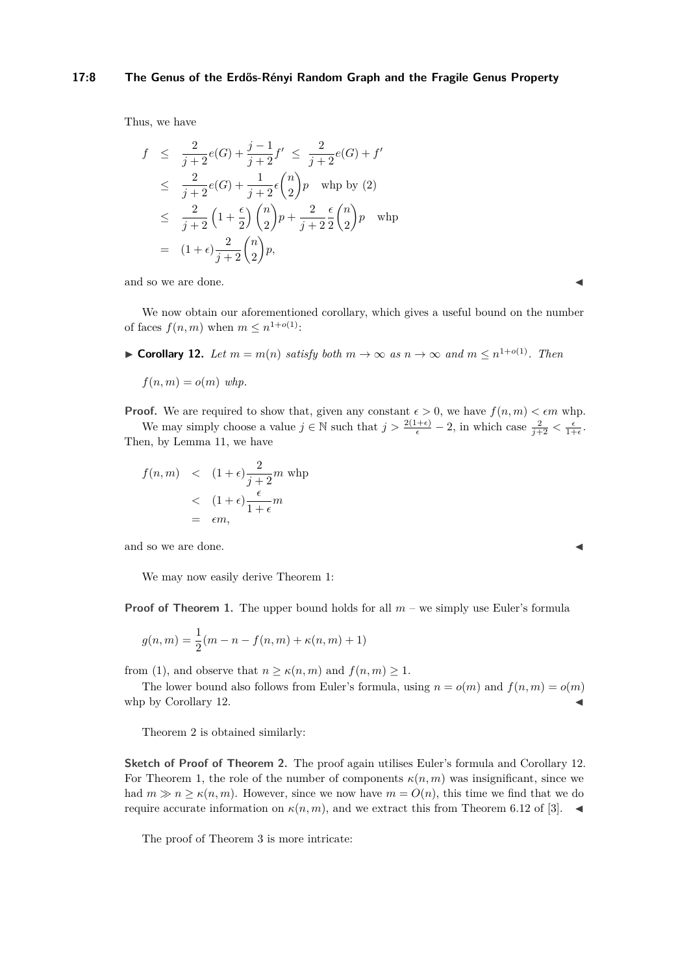#### **17:8 The Genus of the Erdős-Rényi Random Graph and the Fragile Genus Property**

Thus, we have

$$
f \leq \frac{2}{j+2}e(G) + \frac{j-1}{j+2}f' \leq \frac{2}{j+2}e(G) + f'
$$
  
\n
$$
\leq \frac{2}{j+2}e(G) + \frac{1}{j+2}\epsilon {n \choose 2}p \text{ when by (2)}
$$
  
\n
$$
\leq \frac{2}{j+2}\left(1+\frac{\epsilon}{2}\right){n \choose 2}p + \frac{2}{j+2}\frac{\epsilon}{2}{n \choose 2}p \text{ when}
$$
  
\n
$$
= (1+\epsilon)\frac{2}{j+2}{n \choose 2}p,
$$

and so we are done.

We now obtain our aforementioned corollary, which gives a useful bound on the number of faces  $f(n, m)$  when  $m \leq n^{1+o(1)}$ :

<span id="page-7-0"></span>▶ **Corollary 12.** *Let*  $m = m(n)$  *satisfy both*  $m \to \infty$  *as*  $n \to \infty$  *and*  $m \leq n^{1+o(1)}$ *. Then* 

$$
f(n,m) = o(m) \text{ whp.}
$$

**Proof.** We are required to show that, given any constant  $\epsilon > 0$ , we have  $f(n, m) < \epsilon m$  whp. We may simply choose a value  $j \in \mathbb{N}$  such that  $j > \frac{2(1+\epsilon)}{\epsilon} - 2$ , in which case  $\frac{2}{j+2} < \frac{\epsilon}{1+\epsilon}$ .

Then, by Lemma 11, we have 
$$
\frac{1}{2}
$$

$$
f(n,m) < (1+\epsilon)\frac{2}{j+2}m \text{ whp}
$$
  

$$
< (1+\epsilon)\frac{\epsilon}{1+\epsilon}m
$$
  

$$
= \epsilon m,
$$

and so we are done.

We may now easily derive Theorem [1:](#page-2-2)

**Proof of Theorem [1.](#page-2-2)** The upper bound holds for all  $m$  – we simply use Euler's formula

$$
g(n,m) = \frac{1}{2}(m - n - f(n,m) + \kappa(n,m) + 1)
$$

from [\(1\)](#page-2-3), and observe that  $n \geq \kappa(n,m)$  and  $f(n,m) \geq 1$ .

The lower bound also follows from Euler's formula, using  $n = o(m)$  and  $f(n, m) = o(m)$ whp by Corollary [12.](#page-7-0)  $\blacksquare$ 

Theorem [2](#page-2-0) is obtained similarly:

**Sketch of Proof of Theorem [2.](#page-2-0)** The proof again utilises Euler's formula and Corollary [12.](#page-7-0) For Theorem [1,](#page-2-2) the role of the number of components  $\kappa(n,m)$  was insignificant, since we had  $m \geq n \geq \kappa(n,m)$ . However, since we now have  $m = O(n)$ , this time we find that we do require accurate information on  $\kappa(n,m)$ , and we extract this from Theorem 6.12 of [\[3\]](#page-11-0).

The proof of Theorem [3](#page-2-1) is more intricate: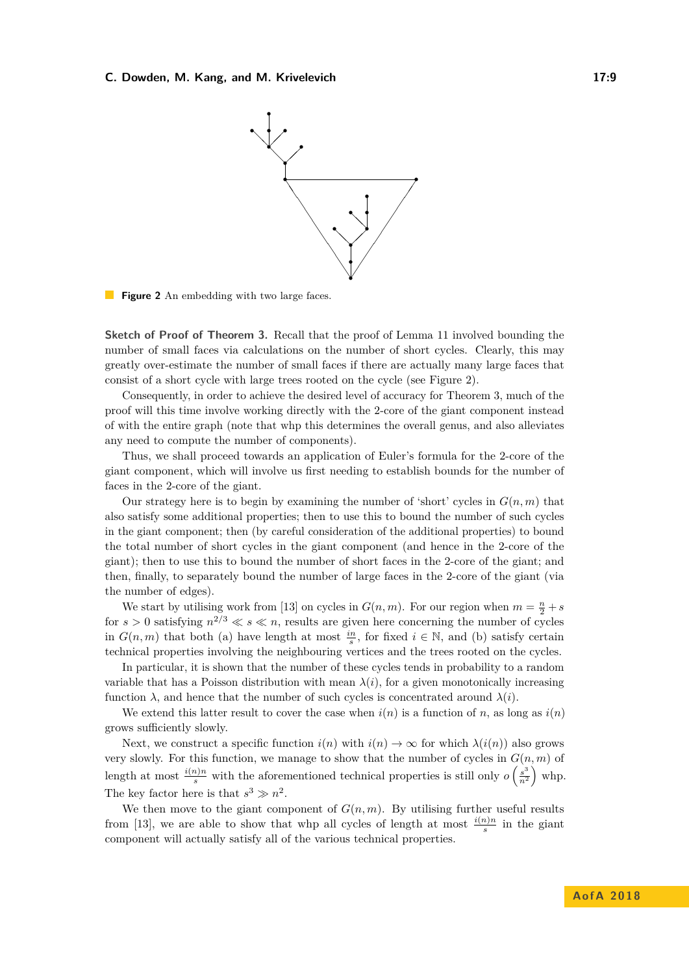<span id="page-8-0"></span>

**Figure 2** An embedding with two large faces.

**Sketch of Proof of Theorem [3.](#page-2-1)** Recall that the proof of Lemma [11](#page-6-1) involved bounding the number of small faces via calculations on the number of short cycles. Clearly, this may greatly over-estimate the number of small faces if there are actually many large faces that consist of a short cycle with large trees rooted on the cycle (see Figure [2\)](#page-8-0).

Consequently, in order to achieve the desired level of accuracy for Theorem [3,](#page-2-1) much of the proof will this time involve working directly with the 2-core of the giant component instead of with the entire graph (note that whp this determines the overall genus, and also alleviates any need to compute the number of components).

Thus, we shall proceed towards an application of Euler's formula for the 2-core of the giant component, which will involve us first needing to establish bounds for the number of faces in the 2-core of the giant.

Our strategy here is to begin by examining the number of 'short' cycles in  $G(n, m)$  that also satisfy some additional properties; then to use this to bound the number of such cycles in the giant component; then (by careful consideration of the additional properties) to bound the total number of short cycles in the giant component (and hence in the 2-core of the giant); then to use this to bound the number of short faces in the 2-core of the giant; and then, finally, to separately bound the number of large faces in the 2-core of the giant (via the number of edges).

We start by utilising work from [\[13\]](#page-11-12) on cycles in  $G(n, m)$ . For our region when  $m = \frac{n}{2} + s$ for  $s > 0$  satisfying  $n^{2/3} \ll s \ll n$ , results are given here concerning the number of cycles in  $G(n,m)$  that both (a) have length at most  $\frac{in}{s}$ , for fixed  $i \in \mathbb{N}$ , and (b) satisfy certain technical properties involving the neighbouring vertices and the trees rooted on the cycles.

In particular, it is shown that the number of these cycles tends in probability to a random variable that has a Poisson distribution with mean  $\lambda(i)$ , for a given monotonically increasing function  $\lambda$ , and hence that the number of such cycles is concentrated around  $\lambda(i)$ .

We extend this latter result to cover the case when  $i(n)$  is a function of *n*, as long as  $i(n)$ grows sufficiently slowly.

Next, we construct a specific function  $i(n)$  with  $i(n) \to \infty$  for which  $\lambda(i(n))$  also grows very slowly. For this function, we manage to show that the number of cycles in  $G(n, m)$  of length at most  $\frac{i(n)n}{s}$  with the aforementioned technical properties is still only  $o\left(\frac{s^3}{n^2}\right)$  $\frac{s^3}{n^2}$  whp. The key factor here is that  $s^3 \gg n^2$ .

We then move to the giant component of  $G(n, m)$ . By utilising further useful results from [\[13\]](#page-11-12), we are able to show that whp all cycles of length at most  $\frac{i(n)n}{s}$  in the giant component will actually satisfy all of the various technical properties.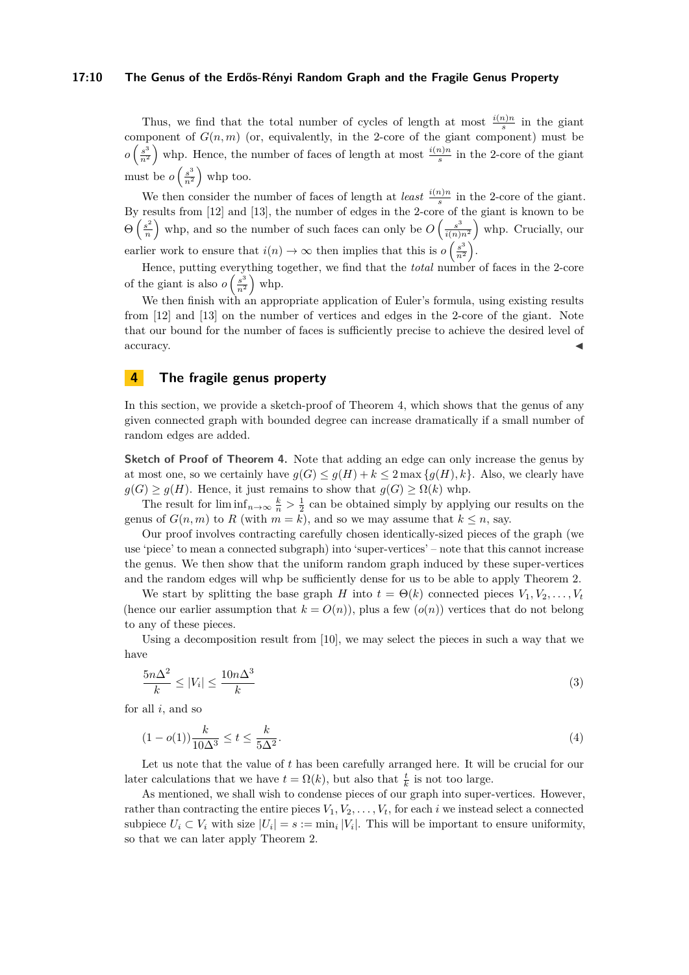#### **17:10 The Genus of the Erdős-Rényi Random Graph and the Fragile Genus Property**

Thus, we find that the total number of cycles of length at most  $\frac{i(n)n}{s}$  in the giant component of  $G(n, m)$  (or, equivalently, in the 2-core of the giant component) must be  $o\left(\frac{s^3}{n^2}\right)$  $\frac{s^3}{n^2}$  whp. Hence, the number of faces of length at most  $\frac{i(n)n}{s}$  in the 2-core of the giant must be  $o\left(\frac{s^3}{n^2}\right)$  $\frac{s^3}{n^2}$  whp too.

We then consider the number of faces of length at *least*  $\frac{i(n)n}{s}$  in the 2-core of the giant. By results from [\[12\]](#page-11-13) and [\[13\]](#page-11-12), the number of edges in the 2-core of the giant is known to be  $\Theta\left(\frac{s^2}{n}\right)$  $\left(\frac{s^2}{n}\right)$  whp, and so the number of such faces can only be  $O\left(\frac{s^3}{i(n)}\right)$  $\frac{s^3}{i(n)n^2}$  whp. Crucially, our earlier work to ensure that  $i(n) \to \infty$  then implies that this is  $o\left(\frac{s^3}{n^2}\right)$  $\left(\frac{s^3}{n^2}\right)$ .

Hence, putting everything together, we find that the *total* number of faces in the 2-core of the giant is also  $o\left(\frac{s^3}{n^2}\right)$  $\frac{s^3}{n^2}$  whp.

We then finish with an appropriate application of Euler's formula, using existing results from [\[12\]](#page-11-13) and [\[13\]](#page-11-12) on the number of vertices and edges in the 2-core of the giant. Note that our bound for the number of faces is sufficiently precise to achieve the desired level of accuracy.

# <span id="page-9-0"></span>**4 The fragile genus property**

In this section, we provide a sketch-proof of Theorem [4,](#page-3-1) which shows that the genus of any given connected graph with bounded degree can increase dramatically if a small number of random edges are added.

**Sketch of Proof of Theorem [4.](#page-3-1)** Note that adding an edge can only increase the genus by at most one, so we certainly have  $g(G) \leq g(H) + k \leq 2 \max\{g(H), k\}$ . Also, we clearly have  $g(G) \ge g(H)$ . Hence, it just remains to show that  $g(G) \ge \Omega(k)$  whp.

The result for  $\liminf_{n\to\infty} \frac{k}{n} > \frac{1}{2}$  can be obtained simply by applying our results on the genus of  $G(n, m)$  to  $R$  (with  $m = k$ ), and so we may assume that  $k \leq n$ , say.

Our proof involves contracting carefully chosen identically-sized pieces of the graph (we use 'piece' to mean a connected subgraph) into 'super-vertices' – note that this cannot increase the genus. We then show that the uniform random graph induced by these super-vertices and the random edges will whp be sufficiently dense for us to be able to apply Theorem [2.](#page-2-0)

We start by splitting the base graph *H* into  $t = \Theta(k)$  connected pieces  $V_1, V_2, \ldots, V_t$ (hence our earlier assumption that  $k = O(n)$ ), plus a few  $(o(n))$  vertices that do not belong to any of these pieces.

Using a decomposition result from [\[10\]](#page-11-10), we may select the pieces in such a way that we have

<span id="page-9-2"></span>
$$
\frac{5n\Delta^2}{k} \le |V_i| \le \frac{10n\Delta^3}{k} \tag{3}
$$

for all *i*, and so

<span id="page-9-1"></span>
$$
(1 - o(1))\frac{k}{10\Delta^3} \le t \le \frac{k}{5\Delta^2}.\tag{4}
$$

Let us note that the value of *t* has been carefully arranged here. It will be crucial for our later calculations that we have  $t = \Omega(k)$ , but also that  $\frac{t}{k}$  is not too large.

As mentioned, we shall wish to condense pieces of our graph into super-vertices. However, rather than contracting the entire pieces  $V_1, V_2, \ldots, V_t$ , for each *i* we instead select a connected subpiece  $U_i \subset V_i$  with size  $|U_i| = s := \min_i |V_i|$ . This will be important to ensure uniformity, so that we can later apply Theorem [2.](#page-2-0)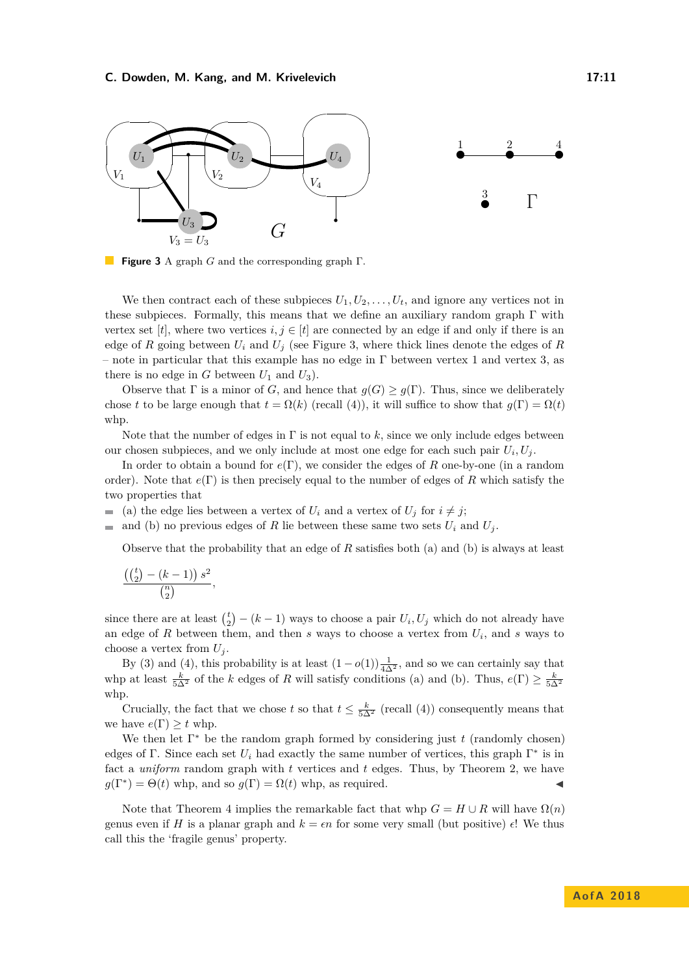<span id="page-10-0"></span>

**Figure 3** A graph *G* and the corresponding graph Γ.

We then contract each of these subpieces  $U_1, U_2, \ldots, U_t$ , and ignore any vertices not in these subpieces. Formally, this means that we define an auxiliary random graph  $\Gamma$  with vertex set [*t*], where two vertices  $i, j \in [t]$  are connected by an edge if and only if there is an edge of *R* going between  $U_i$  and  $U_j$  (see Figure [3,](#page-10-0) where thick lines denote the edges of *R* – note in particular that this example has no edge in  $\Gamma$  between vertex 1 and vertex 3, as there is no edge in  $G$  between  $U_1$  and  $U_3$ ).

Observe that  $\Gamma$  is a minor of *G*, and hence that  $q(G) \geq q(\Gamma)$ . Thus, since we deliberately chose *t* to be large enough that  $t = \Omega(k)$  (recall [\(4\)](#page-9-1)), it will suffice to show that  $g(\Gamma) = \Omega(t)$ whp.

Note that the number of edges in  $\Gamma$  is not equal to  $k$ , since we only include edges between our chosen subpieces, and we only include at most one edge for each such pair  $U_i, U_j$ .

In order to obtain a bound for *e*(Γ), we consider the edges of *R* one-by-one (in a random order). Note that *e*(Γ) is then precisely equal to the number of edges of *R* which satisfy the two properties that

- (a) the edge lies between a vertex of  $U_i$  and a vertex of  $U_j$  for  $i \neq j$ ;
- and (b) no previous edges of R lie between these same two sets  $U_i$  and  $U_j$ .  $\blacksquare$

Observe that the probability that an edge of *R* satisfies both (a) and (b) is always at least

$$
\frac{\left(\binom{t}{2} - (k-1)\right) s^2}{\binom{n}{2}},
$$

since there are at least  $\binom{t}{2} - (k-1)$  ways to choose a pair  $U_i, U_j$  which do not already have an edge of *R* between them, and then *s* ways to choose a vertex from *U<sup>i</sup>* , and *s* ways to choose a vertex from  $U_i$ .

By [\(3\)](#page-9-2) and [\(4\)](#page-9-1), this probability is at least  $(1 - o(1))\frac{1}{4\Delta^2}$ , and so we can certainly say that whp at least  $\frac{k}{5\Delta^2}$  of the *k* edges of *R* will satisfy conditions (a) and (b). Thus,  $e(\Gamma) \ge \frac{k}{5\Delta^2}$ whp.

Crucially, the fact that we chose *t* so that  $t \leq \frac{k}{5\Delta^2}$  (recall [\(4\)](#page-9-1)) consequently means that we have  $e(\Gamma) \geq t$  whp.

We then let  $\Gamma^*$  be the random graph formed by considering just  $t$  (randomly chosen) edges of  $\Gamma$ . Since each set  $U_i$  had exactly the same number of vertices, this graph  $\Gamma^*$  is in fact a *uniform* random graph with *t* vertices and *t* edges. Thus, by Theorem [2,](#page-2-0) we have  $g(\Gamma^*) = \Theta(t)$  whp, and so  $g(\Gamma) = \Omega(t)$  whp, as required.

Note that Theorem [4](#page-3-1) implies the remarkable fact that whp  $G = H \cup R$  will have  $\Omega(n)$ genus even if *H* is a planar graph and  $k = \epsilon n$  for some very small (but positive)  $\epsilon$ ! We thus call this the 'fragile genus' property.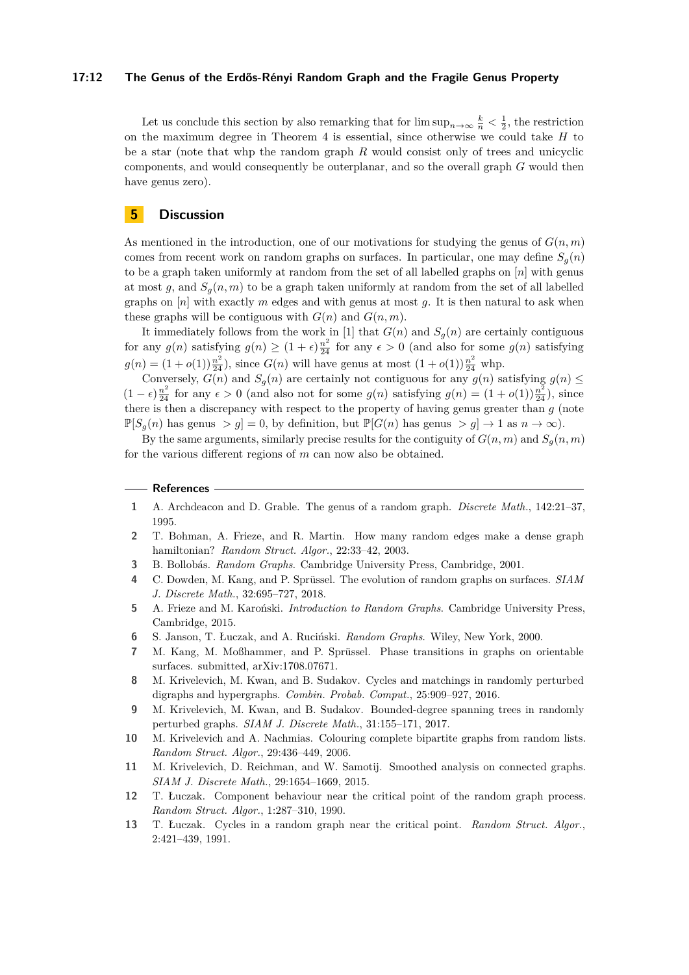#### **17:12 The Genus of the Erdős-Rényi Random Graph and the Fragile Genus Property**

Let us conclude this section by also remarking that for  $\limsup_{n\to\infty}\frac{k}{n}<\frac{1}{2}$ , the restriction on the maximum degree in Theorem [4](#page-3-1) is essential, since otherwise we could take *H* to be a star (note that whp the random graph *R* would consist only of trees and unicyclic components, and would consequently be outerplanar, and so the overall graph *G* would then have genus zero).

# <span id="page-11-11"></span>**5 Discussion**

As mentioned in the introduction, one of our motivations for studying the genus of  $G(n, m)$ comes from recent work on random graphs on surfaces. In particular, one may define  $S_q(n)$ to be a graph taken uniformly at random from the set of all labelled graphs on [*n*] with genus at most  $g$ , and  $S_q(n,m)$  to be a graph taken uniformly at random from the set of all labelled graphs on  $[n]$  with exactly  $m$  edges and with genus at most  $q$ . It is then natural to ask when these graphs will be contiguous with  $G(n)$  and  $G(n, m)$ .

It immediately follows from the work in [\[1\]](#page-11-5) that  $G(n)$  and  $S_g(n)$  are certainly contiguous for any  $g(n)$  satisfying  $g(n) \ge (1 + \epsilon) \frac{n^2}{24}$  for any  $\epsilon > 0$  (and also for some  $g(n)$  satisfying  $g(n) = (1 + o(1))\frac{n^2}{24}$ , since  $G(n)$  will have genus at most  $(1 + o(1))\frac{n^2}{24}$  whp.

Conversely,  $G(n)$  and  $S_g(n)$  are certainly not contiguous for any  $g(n)$  satisfying  $g(n) \leq$  $(1 - \epsilon) \frac{n^2}{24}$  for any  $\epsilon > 0$  (and also not for some  $g(n)$  satisfying  $g(n) = (1 + o(1)) \frac{n^2}{24}$ ), since there is then a discrepancy with respect to the property of having genus greater than *g* (note  $\mathbb{P}[S_q(n)]$  has genus  $>q$ ] = 0, by definition, but  $\mathbb{P}[G(n)]$  has genus  $>q$ ]  $\rightarrow$  1 as  $n \rightarrow \infty$ ).

By the same arguments, similarly precise results for the contiguity of  $G(n, m)$  and  $S_q(n, m)$ for the various different regions of *m* can now also be obtained.

#### **References**

- <span id="page-11-5"></span>**1** A. Archdeacon and D. Grable. The genus of a random graph. *Discrete Math.*, 142:21–37, 1995.
- <span id="page-11-6"></span>**2** T. Bohman, A. Frieze, and R. Martin. How many random edges make a dense graph hamiltonian? *Random Struct. Algor.*, 22:33–42, 2003.
- <span id="page-11-0"></span>**3** B. Bollobás. *Random Graphs*. Cambridge University Press, Cambridge, 2001.
- <span id="page-11-4"></span>**4** C. Dowden, M. Kang, and P. Sprüssel. The evolution of random graphs on surfaces. *SIAM J. Discrete Math.*, 32:695–727, 2018.
- <span id="page-11-1"></span>**5** A. Frieze and M. Karoński. *Introduction to Random Graphs*. Cambridge University Press, Cambridge, 2015.
- <span id="page-11-2"></span>**6** S. Janson, T. Łuczak, and A. Ruciński. *Random Graphs*. Wiley, New York, 2000.
- <span id="page-11-3"></span>**7** M. Kang, M. Moßhammer, and P. Sprüssel. Phase transitions in graphs on orientable surfaces. submitted, arXiv:1708.07671.
- <span id="page-11-7"></span>**8** M. Krivelevich, M. Kwan, and B. Sudakov. Cycles and matchings in randomly perturbed digraphs and hypergraphs. *Combin. Probab. Comput.*, 25:909–927, 2016.
- <span id="page-11-8"></span>**9** M. Krivelevich, M. Kwan, and B. Sudakov. Bounded-degree spanning trees in randomly perturbed graphs. *SIAM J. Discrete Math.*, 31:155–171, 2017.
- <span id="page-11-10"></span>**10** M. Krivelevich and A. Nachmias. Colouring complete bipartite graphs from random lists. *Random Struct. Algor.*, 29:436–449, 2006.
- <span id="page-11-9"></span>**11** M. Krivelevich, D. Reichman, and W. Samotij. Smoothed analysis on connected graphs. *SIAM J. Discrete Math.*, 29:1654–1669, 2015.
- <span id="page-11-13"></span>**12** T. Łuczak. Component behaviour near the critical point of the random graph process. *Random Struct. Algor.*, 1:287–310, 1990.
- <span id="page-11-12"></span>**13** T. Łuczak. Cycles in a random graph near the critical point. *Random Struct. Algor.*, 2:421–439, 1991.